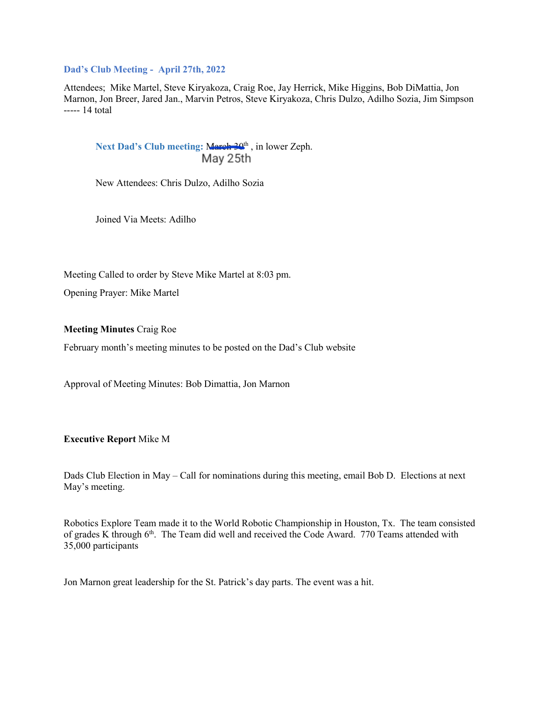**Dad's Club Meeting - April 27th, 2022**

Attendees; Mike Martel, Steve Kiryakoza, Craig Roe, Jay Herrick, Mike Higgins, Bob DiMattia, Jon Marnon, Jon Breer, Jared Jan., Marvin Petros, Steve Kiryakoza, Chris Dulzo, Adilho Sozia, Jim Simpson ----- 14 total

Next Dad's Club meeting: March 30<sup>th</sup>, in lower Zeph. May 25th

New Attendees: Chris Dulzo, Adilho Sozia

Joined Via Meets: Adilho

Meeting Called to order by Steve Mike Martel at 8:03 pm.

Opening Prayer: Mike Martel

**Meeting Minutes** Craig Roe

February month's meeting minutes to be posted on the Dad's Club website

Approval of Meeting Minutes: Bob Dimattia, Jon Marnon

**Executive Report** Mike M

Dads Club Election in May – Call for nominations during this meeting, email Bob D. Elections at next May's meeting.

Robotics Explore Team made it to the World Robotic Championship in Houston, Tx. The team consisted of grades K through 6<sup>th</sup>. The Team did well and received the Code Award. 770 Teams attended with 35,000 participants

Jon Marnon great leadership for the St. Patrick's day parts. The event was a hit.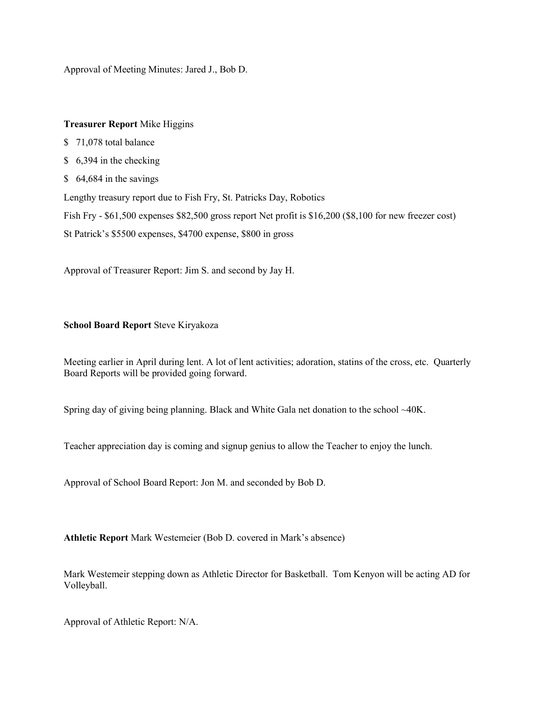Approval of Meeting Minutes: Jared J., Bob D.

# **Treasurer Report** Mike Higgins

- \$ 71,078 total balance
- \$ 6,394 in the checking
- \$64,684 in the savings

Lengthy treasury report due to Fish Fry, St. Patricks Day, Robotics

Fish Fry - \$61,500 expenses \$82,500 gross report Net profit is \$16,200 (\$8,100 for new freezer cost)

St Patrick's \$5500 expenses, \$4700 expense, \$800 in gross

Approval of Treasurer Report: Jim S. and second by Jay H.

## **School Board Report** Steve Kiryakoza

Meeting earlier in April during lent. A lot of lent activities; adoration, statins of the cross, etc. Quarterly Board Reports will be provided going forward.

Spring day of giving being planning. Black and White Gala net donation to the school ~40K.

Teacher appreciation day is coming and signup genius to allow the Teacher to enjoy the lunch.

Approval of School Board Report: Jon M. and seconded by Bob D.

**Athletic Report** Mark Westemeier (Bob D. covered in Mark's absence)

Mark Westemeir stepping down as Athletic Director for Basketball. Tom Kenyon will be acting AD for Volleyball.

Approval of Athletic Report: N/A.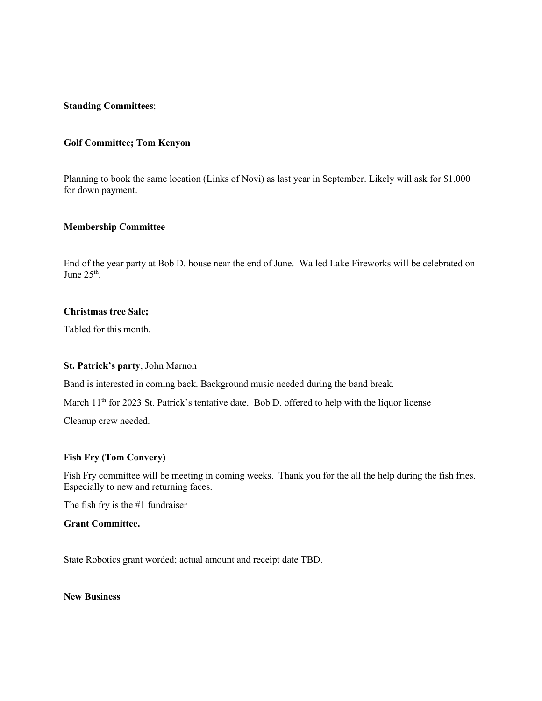# **Standing Committees**;

## **Golf Committee; Tom Kenyon**

Planning to book the same location (Links of Novi) as last year in September. Likely will ask for \$1,000 for down payment.

#### **Membership Committee**

End of the year party at Bob D. house near the end of June. Walled Lake Fireworks will be celebrated on June  $25<sup>th</sup>$ .

## **Christmas tree Sale;**

Tabled for this month.

## **St. Patrick's party**, John Marnon

Band is interested in coming back. Background music needed during the band break.

March 11<sup>th</sup> for 2023 St. Patrick's tentative date. Bob D. offered to help with the liquor license

Cleanup crew needed.

# **Fish Fry (Tom Convery)**

Fish Fry committee will be meeting in coming weeks. Thank you for the all the help during the fish fries. Especially to new and returning faces.

The fish fry is the #1 fundraiser

# **Grant Committee.**

State Robotics grant worded; actual amount and receipt date TBD.

**New Business**